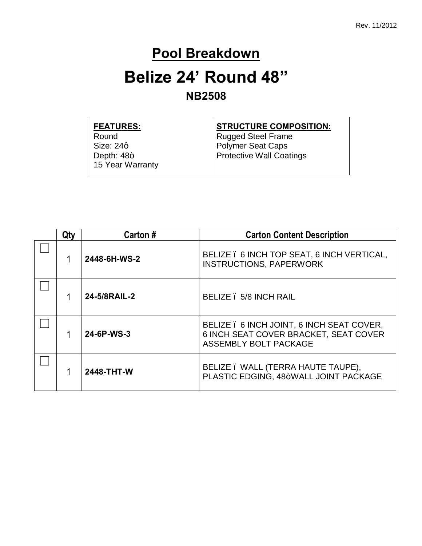### **Pool Breakdown**

### **Belize 24' Round 48" NB2508**

| <b>FEATURES:</b> | <b>STRUCTURE COMPOSITION:</b>   |
|------------------|---------------------------------|
| Round            | <b>Rugged Steel Frame</b>       |
| Size: 24q        | <b>Polymer Seat Caps</b>        |
| Depth: $48+$     | <b>Protective Wall Coatings</b> |
| 15 Year Warranty |                                 |

| Qtv | Carton #     | <b>Carton Content Description</b>                                                                           |
|-----|--------------|-------------------------------------------------------------------------------------------------------------|
|     | 2448-6H-WS-2 | BELIZE . 6 INCH TOP SEAT, 6 INCH VERTICAL,<br><b>INSTRUCTIONS, PAPERWORK</b>                                |
|     | 24-5/8RAIL-2 | BELIZE . 5/8 INCH RAIL                                                                                      |
|     | 24-6P-WS-3   | BELIZE . 6 INCH JOINT, 6 INCH SEAT COVER,<br>6 INCH SEAT COVER BRACKET, SEAT COVER<br>ASSEMBLY BOLT PACKAGE |
|     | 2448-THT-W   | BELIZE . WALL (TERRA HAUTE TAUPE),<br>PLASTIC EDGING, 48+WALL JOINT PACKAGE                                 |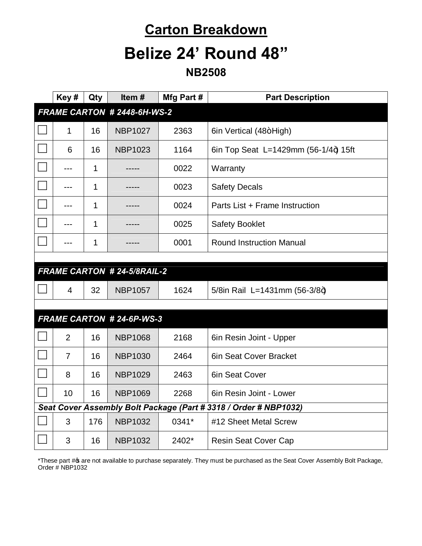# **Carton Breakdown**

# **Belize 24' Round 48"**

#### **NB2508**

|                                                                  | Key#           | Qty | Item#                             | Mfg Part # | <b>Part Description</b>              |
|------------------------------------------------------------------|----------------|-----|-----------------------------------|------------|--------------------------------------|
| FRAME CARTON # 2448-6H-WS-2                                      |                |     |                                   |            |                                      |
|                                                                  | 1              | 16  | <b>NBP1027</b>                    | 2363       | 6in Vertical (48+High)               |
|                                                                  | 6              | 16  | <b>NBP1023</b>                    | 1164       | 6in Top Seat L=1429mm (56-1/4+) 15ft |
|                                                                  | $---$          | 1   |                                   | 0022       | Warranty                             |
|                                                                  | $---$          | 1   |                                   | 0023       | <b>Safety Decals</b>                 |
|                                                                  |                | 1   |                                   | 0024       | Parts List + Frame Instruction       |
|                                                                  | $---$          | 1   |                                   | 0025       | <b>Safety Booklet</b>                |
|                                                                  |                | 1   |                                   | 0001       | <b>Round Instruction Manual</b>      |
|                                                                  |                |     |                                   |            |                                      |
|                                                                  |                |     | <b>FRAME CARTON #24-5/8RAIL-2</b> |            |                                      |
|                                                                  | $\overline{4}$ | 32  | <b>NBP1057</b>                    | 1624       | 5/8in Rail L=1431mm (56-3/8+)        |
|                                                                  |                |     |                                   |            |                                      |
|                                                                  |                |     | <b>FRAME CARTON #24-6P-WS-3</b>   |            |                                      |
|                                                                  | $\overline{2}$ | 16  | <b>NBP1068</b>                    | 2168       | 6in Resin Joint - Upper              |
|                                                                  | $\overline{7}$ | 16  | <b>NBP1030</b>                    | 2464       | 6in Seat Cover Bracket               |
|                                                                  | 8              | 16  | <b>NBP1029</b>                    | 2463       | 6in Seat Cover                       |
|                                                                  | 10             | 16  | <b>NBP1069</b>                    | 2268       | 6in Resin Joint - Lower              |
| Seat Cover Assembly Bolt Package (Part # 3318 / Order # NBP1032) |                |     |                                   |            |                                      |
|                                                                  | 3              | 176 | <b>NBP1032</b>                    | 0341*      | #12 Sheet Metal Screw                |
|                                                                  | 3              | 16  | <b>NBP1032</b>                    | 2402*      | <b>Resin Seat Cover Cap</b>          |

\*These part # are not available to purchase separately. They must be purchased as the Seat Cover Assembly Bolt Package, Order # NBP1032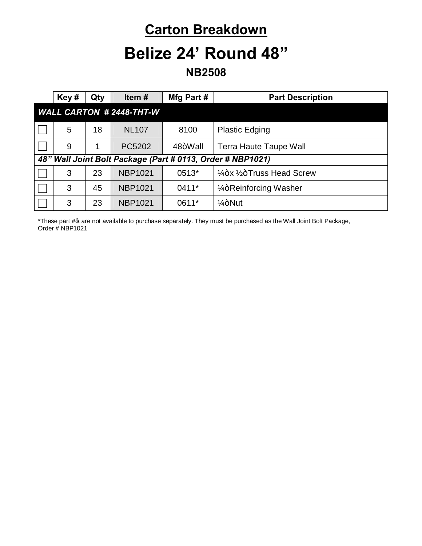### **Carton Breakdown**

### **Belize 24' Round 48"**

**NB2508**

|                                                            | Key# | Qty | Item $#$       | Mfg Part# | <b>Part Description</b>                          |
|------------------------------------------------------------|------|-----|----------------|-----------|--------------------------------------------------|
| <b>WALL CARTON #2448-THT-W</b>                             |      |     |                |           |                                                  |
|                                                            | 5    | 18  | <b>NL107</b>   | 8100      | <b>Plastic Edging</b>                            |
|                                                            | 9    |     | PC5202         | 48+Wall   | <b>Terra Haute Taupe Wall</b>                    |
| 48" Wall Joint Bolt Package (Part # 0113, Order # NBP1021) |      |     |                |           |                                                  |
|                                                            | 3    | 23  | <b>NBP1021</b> | 0513*     | $\frac{1}{4}$ +x $\frac{1}{2}$ +Truss Head Screw |
|                                                            | 3    | 45  | <b>NBP1021</b> | $0411*$   | 1/ <sub>4</sub> +Reinforcing Washer              |
|                                                            | 3    | 23  | <b>NBP1021</b> | 0611*     | $1/4 + N$ ut                                     |

\*These part # are not available to purchase separately. They must be purchased as the Wall Joint Bolt Package, Order # NBP1021